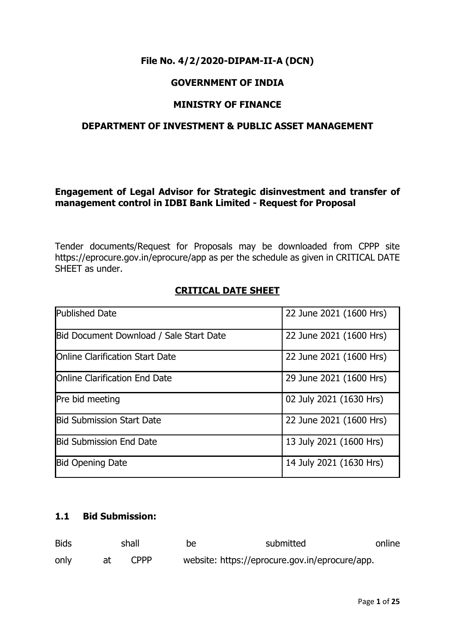# **File No. 4/2/2020-DIPAM-II-A (DCN)**

# **GOVERNMENT OF INDIA**

## **MINISTRY OF FINANCE**

# **DEPARTMENT OF INVESTMENT & PUBLIC ASSET MANAGEMENT**

## **Engagement of Legal Advisor for Strategic disinvestment and transfer of management control in IDBI Bank Limited - Request for Proposal**

Tender documents/Request for Proposals may be downloaded from CPPP site https://eprocure.gov.in/eprocure/app as per the schedule as given in CRITICAL DATE SHEET as under.

## **CRITICAL DATE SHEET**

| <b>Published Date</b>                   | 22 June 2021 (1600 Hrs) |
|-----------------------------------------|-------------------------|
| Bid Document Download / Sale Start Date | 22 June 2021 (1600 Hrs) |
| <b>IOnline Clarification Start Date</b> | 22 June 2021 (1600 Hrs) |
| <b>IOnline Clarification End Date</b>   | 29 June 2021 (1600 Hrs) |
| Pre bid meeting                         | 02 July 2021 (1630 Hrs) |
| <b>Bid Submission Start Date</b>        | 22 June 2021 (1600 Hrs) |
| <b>Bid Submission End Date</b>          | 13 July 2021 (1600 Hrs) |
| <b>Bid Opening Date</b>                 | 14 July 2021 (1630 Hrs) |

# **1.1 Bid Submission:**

| <b>Bids</b> | shall       | be | submitted                                      | online |
|-------------|-------------|----|------------------------------------------------|--------|
| only        | <b>CPPP</b> |    | website: https://eprocure.gov.in/eprocure/app. |        |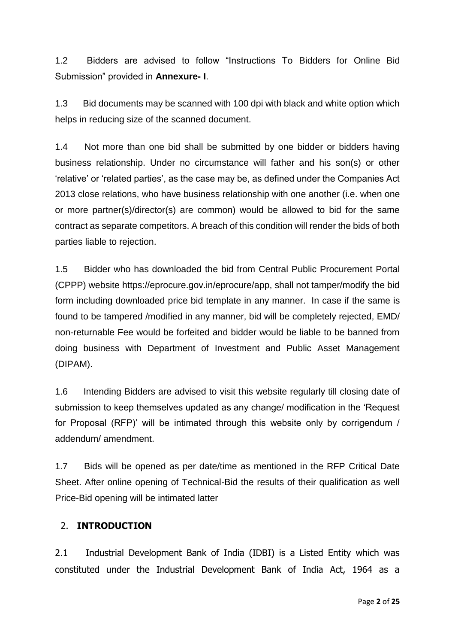1.2 Bidders are advised to follow "Instructions To Bidders for Online Bid Submission" provided in **Annexure- I**.

1.3 Bid documents may be scanned with 100 dpi with black and white option which helps in reducing size of the scanned document.

1.4 Not more than one bid shall be submitted by one bidder or bidders having business relationship. Under no circumstance will father and his son(s) or other 'relative' or 'related parties', as the case may be, as defined under the Companies Act 2013 close relations, who have business relationship with one another (i.e. when one or more partner(s)/director(s) are common) would be allowed to bid for the same contract as separate competitors. A breach of this condition will render the bids of both parties liable to rejection.

1.5 Bidder who has downloaded the bid from Central Public Procurement Portal (CPPP) website https://eprocure.gov.in/eprocure/app, shall not tamper/modify the bid form including downloaded price bid template in any manner. In case if the same is found to be tampered /modified in any manner, bid will be completely rejected, EMD/ non-returnable Fee would be forfeited and bidder would be liable to be banned from doing business with Department of Investment and Public Asset Management (DIPAM).

1.6 Intending Bidders are advised to visit this website regularly till closing date of submission to keep themselves updated as any change/ modification in the 'Request for Proposal (RFP)' will be intimated through this website only by corrigendum / addendum/ amendment.

1.7 Bids will be opened as per date/time as mentioned in the RFP Critical Date Sheet. After online opening of Technical-Bid the results of their qualification as well Price-Bid opening will be intimated latter

# 2. **INTRODUCTION**

2.1 Industrial Development Bank of India (IDBI) is a Listed Entity which was constituted under the Industrial Development Bank of India Act, 1964 as a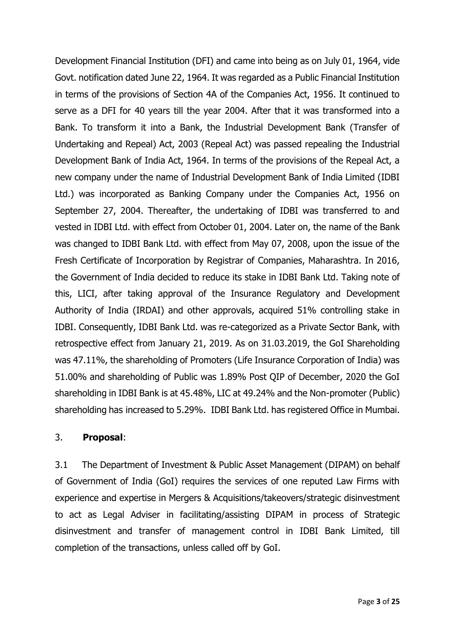Development Financial Institution (DFI) and came into being as on July 01, 1964, vide Govt. notification dated June 22, 1964. It was regarded as a Public Financial Institution in terms of the provisions of Section 4A of the Companies Act, 1956. It continued to serve as a DFI for 40 years till the year 2004. After that it was transformed into a Bank. To transform it into a Bank, the Industrial Development Bank (Transfer of Undertaking and Repeal) Act, 2003 (Repeal Act) was passed repealing the Industrial Development Bank of India Act, 1964. In terms of the provisions of the Repeal Act, a new company under the name of Industrial Development Bank of India Limited (IDBI Ltd.) was incorporated as Banking Company under the Companies Act, 1956 on September 27, 2004. Thereafter, the undertaking of IDBI was transferred to and vested in IDBI Ltd. with effect from October 01, 2004. Later on, the name of the Bank was changed to IDBI Bank Ltd. with effect from May 07, 2008, upon the issue of the Fresh Certificate of Incorporation by Registrar of Companies, Maharashtra. In 2016, the Government of India decided to reduce its stake in IDBI Bank Ltd. Taking note of this, LICI, after taking approval of the Insurance Regulatory and Development Authority of India (IRDAI) and other approvals, acquired 51% controlling stake in IDBI. Consequently, IDBI Bank Ltd. was re-categorized as a Private Sector Bank, with retrospective effect from January 21, 2019. As on 31.03.2019, the GoI Shareholding was 47.11%, the shareholding of Promoters (Life Insurance Corporation of India) was 51.00% and shareholding of Public was 1.89% Post QIP of December, 2020 the GoI shareholding in IDBI Bank is at 45.48%, LIC at 49.24% and the Non-promoter (Public) shareholding has increased to 5.29%. IDBI Bank Ltd. has registered Office in Mumbai.

#### 3. **Proposal**:

3.1 The Department of Investment & Public Asset Management (DIPAM) on behalf of Government of India (GoI) requires the services of one reputed Law Firms with experience and expertise in Mergers & Acquisitions/takeovers/strategic disinvestment to act as Legal Adviser in facilitating/assisting DIPAM in process of Strategic disinvestment and transfer of management control in IDBI Bank Limited, till completion of the transactions, unless called off by GoI.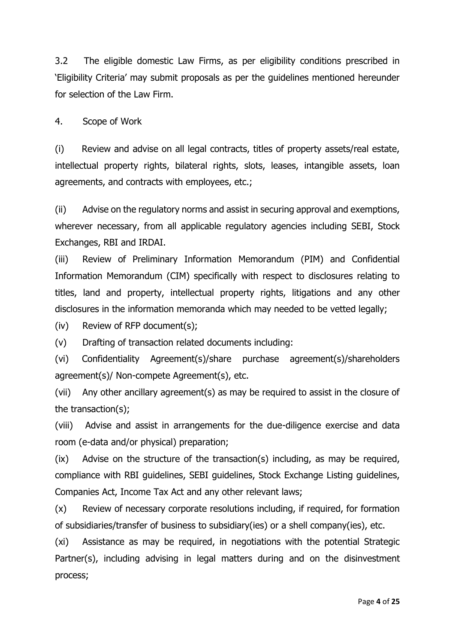3.2 The eligible domestic Law Firms, as per eligibility conditions prescribed in 'Eligibility Criteria' may submit proposals as per the guidelines mentioned hereunder for selection of the Law Firm.

4. Scope of Work

(i) Review and advise on all legal contracts, titles of property assets/real estate, intellectual property rights, bilateral rights, slots, leases, intangible assets, loan agreements, and contracts with employees, etc.;

(ii) Advise on the regulatory norms and assist in securing approval and exemptions, wherever necessary, from all applicable regulatory agencies including SEBI, Stock Exchanges, RBI and IRDAI.

(iii) Review of Preliminary Information Memorandum (PIM) and Confidential Information Memorandum (CIM) specifically with respect to disclosures relating to titles, land and property, intellectual property rights, litigations and any other disclosures in the information memoranda which may needed to be vetted legally;

(iv) Review of RFP document(s);

(v) Drafting of transaction related documents including:

(vi) Confidentiality Agreement(s)/share purchase agreement(s)/shareholders agreement(s)/ Non-compete Agreement(s), etc.

(vii) Any other ancillary agreement(s) as may be required to assist in the closure of the transaction(s);

(viii) Advise and assist in arrangements for the due-diligence exercise and data room (e-data and/or physical) preparation;

(ix) Advise on the structure of the transaction(s) including, as may be required, compliance with RBI guidelines, SEBI guidelines, Stock Exchange Listing guidelines, Companies Act, Income Tax Act and any other relevant laws;

(x) Review of necessary corporate resolutions including, if required, for formation of subsidiaries/transfer of business to subsidiary(ies) or a shell company(ies), etc.

(xi) Assistance as may be required, in negotiations with the potential Strategic Partner(s), including advising in legal matters during and on the disinvestment process;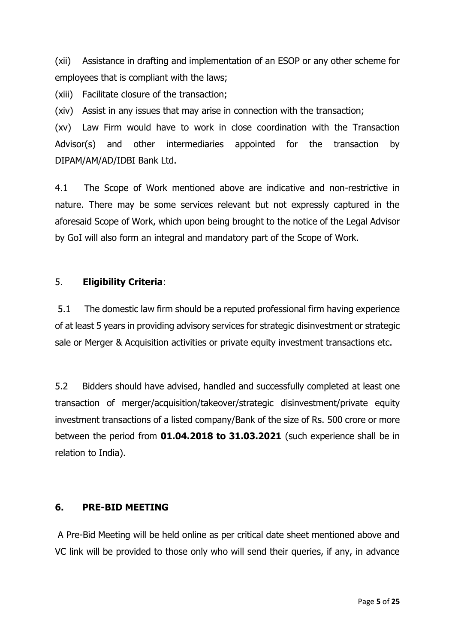(xii) Assistance in drafting and implementation of an ESOP or any other scheme for employees that is compliant with the laws;

(xiii) Facilitate closure of the transaction;

(xiv) Assist in any issues that may arise in connection with the transaction;

(xv) Law Firm would have to work in close coordination with the Transaction Advisor(s) and other intermediaries appointed for the transaction by DIPAM/AM/AD/IDBI Bank Ltd.

4.1 The Scope of Work mentioned above are indicative and non-restrictive in nature. There may be some services relevant but not expressly captured in the aforesaid Scope of Work, which upon being brought to the notice of the Legal Advisor by GoI will also form an integral and mandatory part of the Scope of Work.

# 5. **Eligibility Criteria**:

5.1 The domestic law firm should be a reputed professional firm having experience of at least 5 years in providing advisory services for strategic disinvestment or strategic sale or Merger & Acquisition activities or private equity investment transactions etc.

5.2 Bidders should have advised, handled and successfully completed at least one transaction of merger/acquisition/takeover/strategic disinvestment/private equity investment transactions of a listed company/Bank of the size of Rs. 500 crore or more between the period from **01.04.2018 to 31.03.2021** (such experience shall be in relation to India).

# **6. PRE-BID MEETING**

A Pre-Bid Meeting will be held online as per critical date sheet mentioned above and VC link will be provided to those only who will send their queries, if any, in advance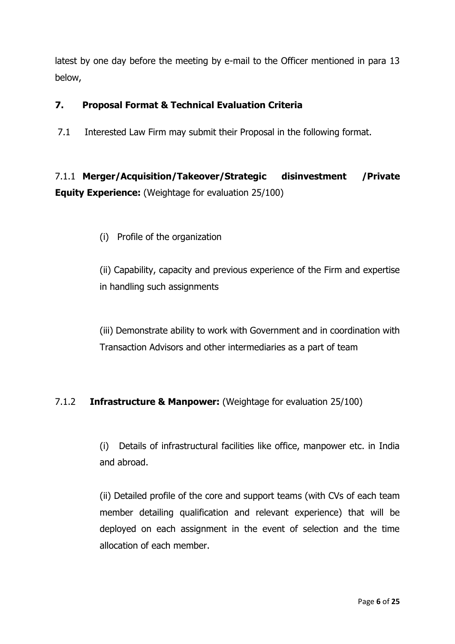latest by one day before the meeting by e-mail to the Officer mentioned in para 13 below,

# **7. Proposal Format & Technical Evaluation Criteria**

7.1 Interested Law Firm may submit their Proposal in the following format.

7.1.1 **Merger/Acquisition/Takeover/Strategic disinvestment /Private Equity Experience:** (Weightage for evaluation 25/100)

(i) Profile of the organization

(ii) Capability, capacity and previous experience of the Firm and expertise in handling such assignments

(iii) Demonstrate ability to work with Government and in coordination with Transaction Advisors and other intermediaries as a part of team

# 7.1.2 **Infrastructure & Manpower:** (Weightage for evaluation 25/100)

(i) Details of infrastructural facilities like office, manpower etc. in India and abroad.

(ii) Detailed profile of the core and support teams (with CVs of each team member detailing qualification and relevant experience) that will be deployed on each assignment in the event of selection and the time allocation of each member.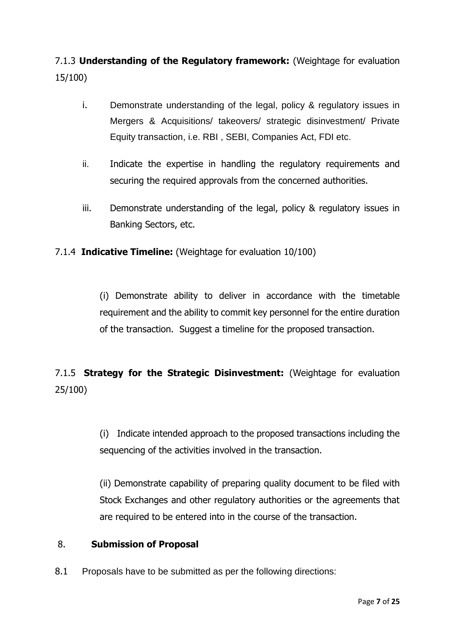7.1.3 **Understanding of the Regulatory framework:** (Weightage for evaluation 15/100)

- i. Demonstrate understanding of the legal, policy & regulatory issues in Mergers & Acquisitions/ takeovers/ strategic disinvestment/ Private Equity transaction, i.e. RBI , SEBI, Companies Act, FDI etc.
- ii. Indicate the expertise in handling the regulatory requirements and securing the required approvals from the concerned authorities.
- iii. Demonstrate understanding of the legal, policy & regulatory issues in Banking Sectors, etc.

# 7.1.4 **Indicative Timeline:** (Weightage for evaluation 10/100)

(i) Demonstrate ability to deliver in accordance with the timetable requirement and the ability to commit key personnel for the entire duration of the transaction. Suggest a timeline for the proposed transaction.

7.1.5 **Strategy for the Strategic Disinvestment:** (Weightage for evaluation 25/100)

> (i) Indicate intended approach to the proposed transactions including the sequencing of the activities involved in the transaction.

> (ii) Demonstrate capability of preparing quality document to be filed with Stock Exchanges and other regulatory authorities or the agreements that are required to be entered into in the course of the transaction.

#### 8. **Submission of Proposal**

8.1 Proposals have to be submitted as per the following directions: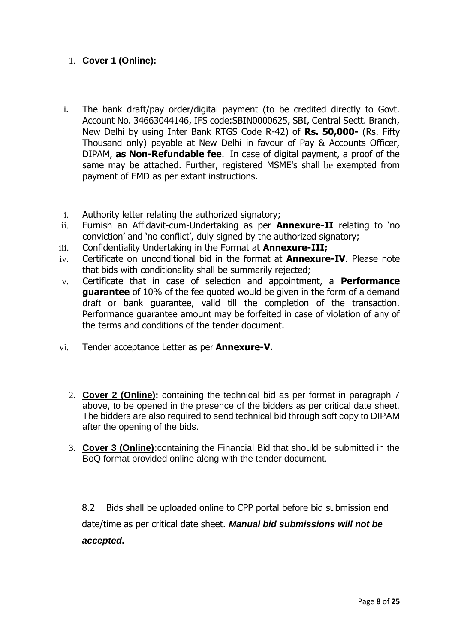## 1. **Cover 1 (Online):**

- i. The bank draft/pay order/digital payment (to be credited directly to Govt. Account No. 34663044146, IFS code:SBIN0000625, SBI, Central Sectt. Branch, New Delhi by using Inter Bank RTGS Code R-42) of **Rs. 50,000-** (Rs. Fifty Thousand only) payable at New Delhi in favour of Pay & Accounts Officer, DIPAM, **as Non-Refundable fee**. In case of digital payment, a proof of the same may be attached. Further, registered MSME's shall be exempted from payment of EMD as per extant instructions.
- i. Authority letter relating the authorized signatory;
- ii. Furnish an Affidavit-cum-Undertaking as per **Annexure-II** relating to 'no conviction' and 'no conflict', duly signed by the authorized signatory;
- iii. Confidentiality Undertaking in the Format at **Annexure-III;**
- iv. Certificate on unconditional bid in the format at **Annexure-IV**. Please note that bids with conditionality shall be summarily rejected;
- v. Certificate that in case of selection and appointment, a **Performance guarantee** of 10% of the fee quoted would be given in the form of a demand draft or bank guarantee, valid till the completion of the transaction. Performance guarantee amount may be forfeited in case of violation of any of the terms and conditions of the tender document.
- vi. Tender acceptance Letter as per **Annexure-V.**
	- 2. **Cover 2 (Online):** containing the technical bid as per format in paragraph 7 above, to be opened in the presence of the bidders as per critical date sheet. The bidders are also required to send technical bid through soft copy to DIPAM after the opening of the bids.
	- 3. **Cover 3 (Online):**containing the Financial Bid that should be submitted in the BoQ format provided online along with the tender document.

8.2 Bids shall be uploaded online to CPP portal before bid submission end date/time as per critical date sheet. *Manual bid submissions will not be accepted***.**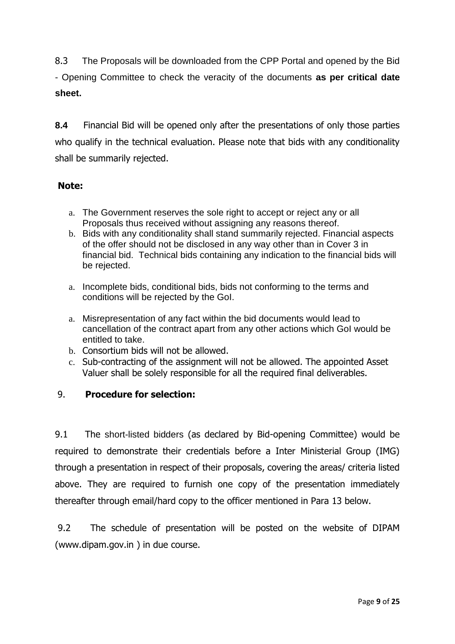8.3 The Proposals will be downloaded from the CPP Portal and opened by the Bid - Opening Committee to check the veracity of the documents **as per critical date sheet.**

**8.4** Financial Bid will be opened only after the presentations of only those parties who qualify in the technical evaluation. Please note that bids with any conditionality shall be summarily rejected.

# **Note:**

- a. The Government reserves the sole right to accept or reject any or all Proposals thus received without assigning any reasons thereof.
- b. Bids with any conditionality shall stand summarily rejected. Financial aspects of the offer should not be disclosed in any way other than in Cover 3 in financial bid. Technical bids containing any indication to the financial bids will be rejected.
- a. Incomplete bids, conditional bids, bids not conforming to the terms and conditions will be rejected by the GoI.
- a. Misrepresentation of any fact within the bid documents would lead to cancellation of the contract apart from any other actions which GoI would be entitled to take.
- b. Consortium bids will not be allowed.
- c. Sub-contracting of the assignment will not be allowed. The appointed Asset Valuer shall be solely responsible for all the required final deliverables.

# 9. **Procedure for selection:**

9.1 The short-listed bidders (as declared by Bid-opening Committee) would be required to demonstrate their credentials before a Inter Ministerial Group (IMG) through a presentation in respect of their proposals, covering the areas/ criteria listed above. They are required to furnish one copy of the presentation immediately thereafter through email/hard copy to the officer mentioned in Para 13 below.

9.2 The schedule of presentation will be posted on the website of DIPAM (www.dipam.gov.in ) in due course.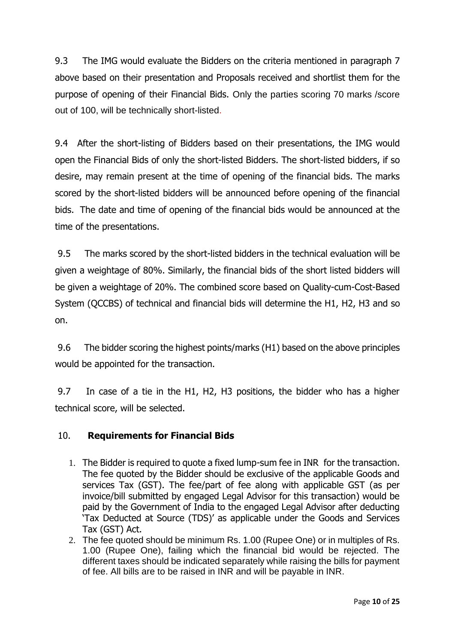9.3 The IMG would evaluate the Bidders on the criteria mentioned in paragraph 7 above based on their presentation and Proposals received and shortlist them for the purpose of opening of their Financial Bids. Only the parties scoring 70 marks /score out of 100, will be technically short-listed.

9.4 After the short-listing of Bidders based on their presentations, the IMG would open the Financial Bids of only the short-listed Bidders. The short-listed bidders, if so desire, may remain present at the time of opening of the financial bids. The marks scored by the short-listed bidders will be announced before opening of the financial bids. The date and time of opening of the financial bids would be announced at the time of the presentations.

9.5 The marks scored by the short-listed bidders in the technical evaluation will be given a weightage of 80%. Similarly, the financial bids of the short listed bidders will be given a weightage of 20%. The combined score based on Quality-cum-Cost-Based System (QCCBS) of technical and financial bids will determine the H1, H2, H3 and so on.

9.6 The bidder scoring the highest points/marks (H1) based on the above principles would be appointed for the transaction.

9.7 In case of a tie in the H1, H2, H3 positions, the bidder who has a higher technical score, will be selected.

# 10. **Requirements for Financial Bids**

- 1. The Bidder is required to quote a fixed lump-sum fee in INR for the transaction. The fee quoted by the Bidder should be exclusive of the applicable Goods and services Tax (GST). The fee/part of fee along with applicable GST (as per invoice/bill submitted by engaged Legal Advisor for this transaction) would be paid by the Government of India to the engaged Legal Advisor after deducting 'Tax Deducted at Source (TDS)' as applicable under the Goods and Services Tax (GST) Act.
- 2. The fee quoted should be minimum Rs. 1.00 (Rupee One) or in multiples of Rs. 1.00 (Rupee One), failing which the financial bid would be rejected. The different taxes should be indicated separately while raising the bills for payment of fee. All bills are to be raised in INR and will be payable in INR.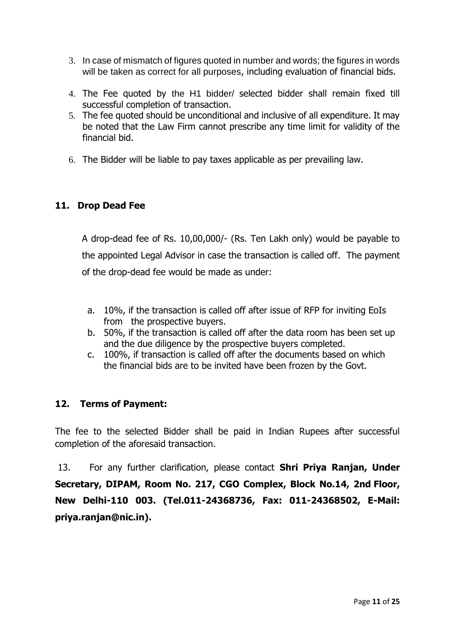- 3. In case of mismatch of figures quoted in number and words; the figures in words will be taken as correct for all purposes, including evaluation of financial bids.
- 4. The Fee quoted by the H1 bidder/ selected bidder shall remain fixed till successful completion of transaction.
- 5. The fee quoted should be unconditional and inclusive of all expenditure. It may be noted that the Law Firm cannot prescribe any time limit for validity of the financial bid.
- 6. The Bidder will be liable to pay taxes applicable as per prevailing law.

# **11. Drop Dead Fee**

A drop-dead fee of Rs. 10,00,000/- (Rs. Ten Lakh only) would be payable to the appointed Legal Advisor in case the transaction is called off. The payment of the drop-dead fee would be made as under:

- a. 10%, if the transaction is called off after issue of RFP for inviting EoIs from the prospective buyers.
- b. 50%, if the transaction is called off after the data room has been set up and the due diligence by the prospective buyers completed.
- c. 100%, if transaction is called off after the documents based on which the financial bids are to be invited have been frozen by the Govt.

# **12. Terms of Payment:**

The fee to the selected Bidder shall be paid in Indian Rupees after successful completion of the aforesaid transaction.

13. For any further clarification, please contact **Shri Priya Ranjan, Under Secretary, DIPAM, Room No. 217, CGO Complex, Block No.14, 2nd Floor, New Delhi-110 003. (Tel.011-24368736, Fax: 011-24368502, E-Mail: priya.ranjan@nic.in).**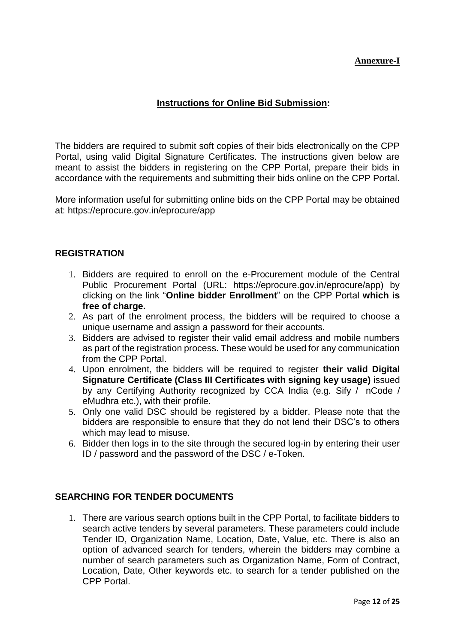## **Annexure-I**

## **Instructions for Online Bid Submission:**

The bidders are required to submit soft copies of their bids electronically on the CPP Portal, using valid Digital Signature Certificates. The instructions given below are meant to assist the bidders in registering on the CPP Portal, prepare their bids in accordance with the requirements and submitting their bids online on the CPP Portal.

More information useful for submitting online bids on the CPP Portal may be obtained at: https://eprocure.gov.in/eprocure/app

#### **REGISTRATION**

- 1. Bidders are required to enroll on the e-Procurement module of the Central Public Procurement Portal (URL: https://eprocure.gov.in/eprocure/app) by clicking on the link "**Online bidder Enrollment**" on the CPP Portal **which is free of charge.**
- 2. As part of the enrolment process, the bidders will be required to choose a unique username and assign a password for their accounts.
- 3. Bidders are advised to register their valid email address and mobile numbers as part of the registration process. These would be used for any communication from the CPP Portal.
- 4. Upon enrolment, the bidders will be required to register **their valid Digital Signature Certificate (Class III Certificates with signing key usage)** issued by any Certifying Authority recognized by CCA India (e.g. Sify / nCode / eMudhra etc.), with their profile.
- 5. Only one valid DSC should be registered by a bidder. Please note that the bidders are responsible to ensure that they do not lend their DSC's to others which may lead to misuse.
- 6. Bidder then logs in to the site through the secured log-in by entering their user ID / password and the password of the DSC / e-Token.

#### **SEARCHING FOR TENDER DOCUMENTS**

1. There are various search options built in the CPP Portal, to facilitate bidders to search active tenders by several parameters. These parameters could include Tender ID, Organization Name, Location, Date, Value, etc. There is also an option of advanced search for tenders, wherein the bidders may combine a number of search parameters such as Organization Name, Form of Contract, Location, Date, Other keywords etc. to search for a tender published on the CPP Portal.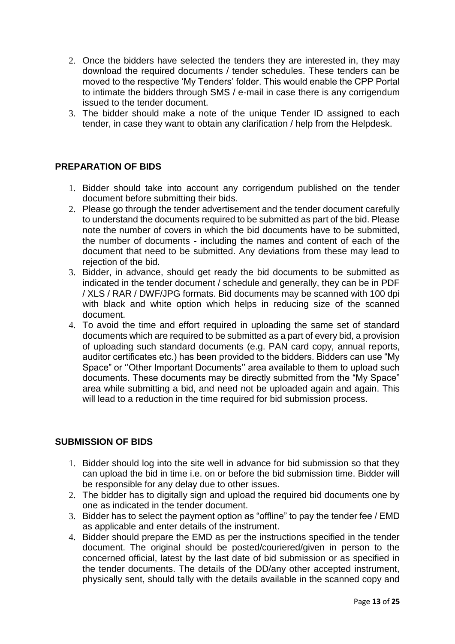- 2. Once the bidders have selected the tenders they are interested in, they may download the required documents / tender schedules. These tenders can be moved to the respective 'My Tenders' folder. This would enable the CPP Portal to intimate the bidders through SMS / e-mail in case there is any corrigendum issued to the tender document.
- 3. The bidder should make a note of the unique Tender ID assigned to each tender, in case they want to obtain any clarification / help from the Helpdesk.

## **PREPARATION OF BIDS**

- 1. Bidder should take into account any corrigendum published on the tender document before submitting their bids.
- 2. Please go through the tender advertisement and the tender document carefully to understand the documents required to be submitted as part of the bid. Please note the number of covers in which the bid documents have to be submitted, the number of documents - including the names and content of each of the document that need to be submitted. Any deviations from these may lead to rejection of the bid.
- 3. Bidder, in advance, should get ready the bid documents to be submitted as indicated in the tender document / schedule and generally, they can be in PDF / XLS / RAR / DWF/JPG formats. Bid documents may be scanned with 100 dpi with black and white option which helps in reducing size of the scanned document.
- 4. To avoid the time and effort required in uploading the same set of standard documents which are required to be submitted as a part of every bid, a provision of uploading such standard documents (e.g. PAN card copy, annual reports, auditor certificates etc.) has been provided to the bidders. Bidders can use "My Space" or ''Other Important Documents'' area available to them to upload such documents. These documents may be directly submitted from the "My Space" area while submitting a bid, and need not be uploaded again and again. This will lead to a reduction in the time required for bid submission process.

#### **SUBMISSION OF BIDS**

- 1. Bidder should log into the site well in advance for bid submission so that they can upload the bid in time i.e. on or before the bid submission time. Bidder will be responsible for any delay due to other issues.
- 2. The bidder has to digitally sign and upload the required bid documents one by one as indicated in the tender document.
- 3. Bidder has to select the payment option as "offline" to pay the tender fee / EMD as applicable and enter details of the instrument.
- 4. Bidder should prepare the EMD as per the instructions specified in the tender document. The original should be posted/couriered/given in person to the concerned official, latest by the last date of bid submission or as specified in the tender documents. The details of the DD/any other accepted instrument, physically sent, should tally with the details available in the scanned copy and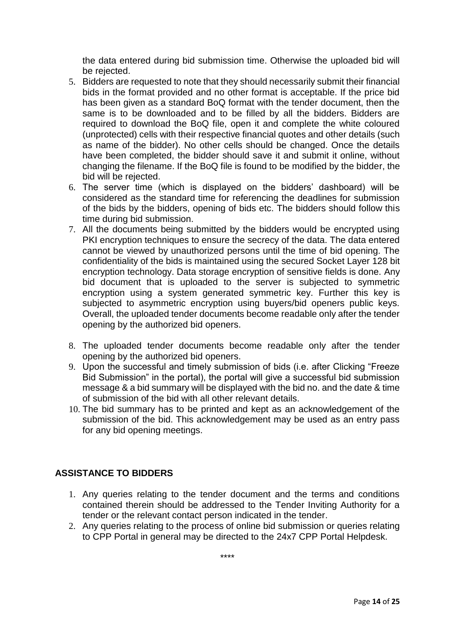the data entered during bid submission time. Otherwise the uploaded bid will be rejected.

- 5. Bidders are requested to note that they should necessarily submit their financial bids in the format provided and no other format is acceptable. If the price bid has been given as a standard BoQ format with the tender document, then the same is to be downloaded and to be filled by all the bidders. Bidders are required to download the BoQ file, open it and complete the white coloured (unprotected) cells with their respective financial quotes and other details (such as name of the bidder). No other cells should be changed. Once the details have been completed, the bidder should save it and submit it online, without changing the filename. If the BoQ file is found to be modified by the bidder, the bid will be rejected.
- 6. The server time (which is displayed on the bidders' dashboard) will be considered as the standard time for referencing the deadlines for submission of the bids by the bidders, opening of bids etc. The bidders should follow this time during bid submission.
- 7. All the documents being submitted by the bidders would be encrypted using PKI encryption techniques to ensure the secrecy of the data. The data entered cannot be viewed by unauthorized persons until the time of bid opening. The confidentiality of the bids is maintained using the secured Socket Layer 128 bit encryption technology. Data storage encryption of sensitive fields is done. Any bid document that is uploaded to the server is subjected to symmetric encryption using a system generated symmetric key. Further this key is subjected to asymmetric encryption using buyers/bid openers public keys. Overall, the uploaded tender documents become readable only after the tender opening by the authorized bid openers.
- 8. The uploaded tender documents become readable only after the tender opening by the authorized bid openers.
- 9. Upon the successful and timely submission of bids (i.e. after Clicking "Freeze Bid Submission" in the portal), the portal will give a successful bid submission message & a bid summary will be displayed with the bid no. and the date & time of submission of the bid with all other relevant details.
- 10. The bid summary has to be printed and kept as an acknowledgement of the submission of the bid. This acknowledgement may be used as an entry pass for any bid opening meetings.

# **ASSISTANCE TO BIDDERS**

- 1. Any queries relating to the tender document and the terms and conditions contained therein should be addressed to the Tender Inviting Authority for a tender or the relevant contact person indicated in the tender.
- 2. Any queries relating to the process of online bid submission or queries relating to CPP Portal in general may be directed to the 24x7 CPP Portal Helpdesk.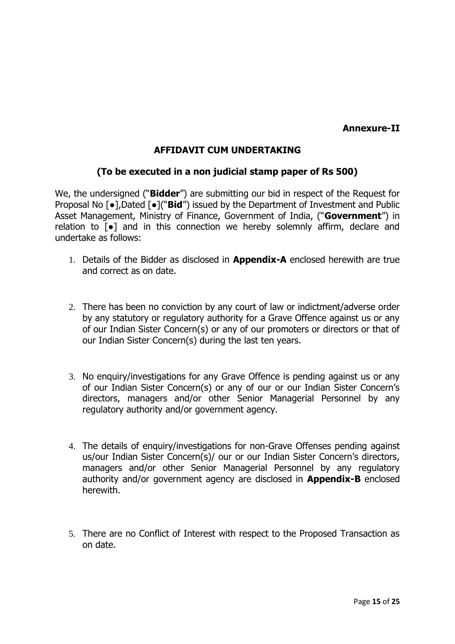# **Annexure-II**

# **AFFIDAVIT CUM UNDERTAKING**

# **(To be executed in a non judicial stamp paper of Rs 500)**

We, the undersigned ("**Bidder**") are submitting our bid in respect of the Request for Proposal No [●],Dated [●]("**Bid**") issued by the Department of Investment and Public Asset Management, Ministry of Finance, Government of India, ("**Government**") in relation to [●] and in this connection we hereby solemnly affirm, declare and undertake as follows:

- 1. Details of the Bidder as disclosed in **Appendix-A** enclosed herewith are true and correct as on date.
- 2. There has been no conviction by any court of law or indictment/adverse order by any statutory or regulatory authority for a Grave Offence against us or any of our Indian Sister Concern(s) or any of our promoters or directors or that of our Indian Sister Concern(s) during the last ten years.
- 3. No enquiry/investigations for any Grave Offence is pending against us or any of our Indian Sister Concern(s) or any of our or our Indian Sister Concern's directors, managers and/or other Senior Managerial Personnel by any regulatory authority and/or government agency.
- 4. The details of enquiry/investigations for non-Grave Offenses pending against us/our Indian Sister Concern(s)/ our or our Indian Sister Concern's directors, managers and/or other Senior Managerial Personnel by any regulatory authority and/or government agency are disclosed in **Appendix-B** enclosed herewith.
- 5. There are no Conflict of Interest with respect to the Proposed Transaction as on date.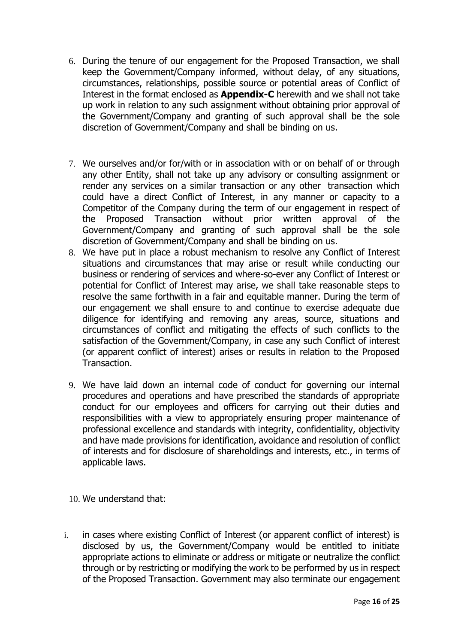- 6. During the tenure of our engagement for the Proposed Transaction, we shall keep the Government/Company informed, without delay, of any situations, circumstances, relationships, possible source or potential areas of Conflict of Interest in the format enclosed as **Appendix-C** herewith and we shall not take up work in relation to any such assignment without obtaining prior approval of the Government/Company and granting of such approval shall be the sole discretion of Government/Company and shall be binding on us.
- 7. We ourselves and/or for/with or in association with or on behalf of or through any other Entity, shall not take up any advisory or consulting assignment or render any services on a similar transaction or any other transaction which could have a direct Conflict of Interest, in any manner or capacity to a Competitor of the Company during the term of our engagement in respect of the Proposed Transaction without prior written approval of the Government/Company and granting of such approval shall be the sole discretion of Government/Company and shall be binding on us.
- 8. We have put in place a robust mechanism to resolve any Conflict of Interest situations and circumstances that may arise or result while conducting our business or rendering of services and where-so-ever any Conflict of Interest or potential for Conflict of Interest may arise, we shall take reasonable steps to resolve the same forthwith in a fair and equitable manner. During the term of our engagement we shall ensure to and continue to exercise adequate due diligence for identifying and removing any areas, source, situations and circumstances of conflict and mitigating the effects of such conflicts to the satisfaction of the Government/Company, in case any such Conflict of interest (or apparent conflict of interest) arises or results in relation to the Proposed Transaction.
- 9. We have laid down an internal code of conduct for governing our internal procedures and operations and have prescribed the standards of appropriate conduct for our employees and officers for carrying out their duties and responsibilities with a view to appropriately ensuring proper maintenance of professional excellence and standards with integrity, confidentiality, objectivity and have made provisions for identification, avoidance and resolution of conflict of interests and for disclosure of shareholdings and interests, etc., in terms of applicable laws.
- 10. We understand that:
- i. in cases where existing Conflict of Interest (or apparent conflict of interest) is disclosed by us, the Government/Company would be entitled to initiate appropriate actions to eliminate or address or mitigate or neutralize the conflict through or by restricting or modifying the work to be performed by us in respect of the Proposed Transaction. Government may also terminate our engagement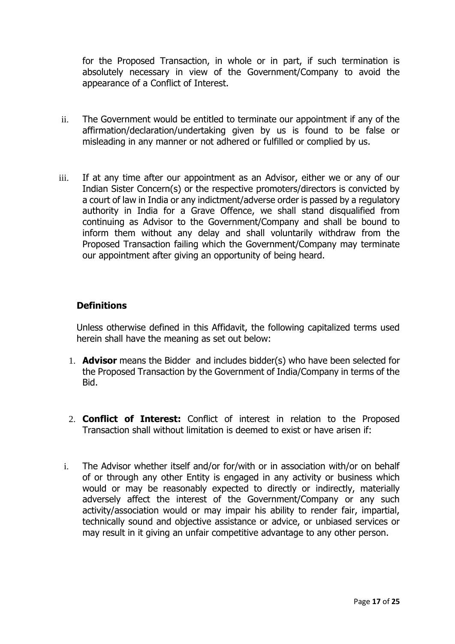for the Proposed Transaction, in whole or in part, if such termination is absolutely necessary in view of the Government/Company to avoid the appearance of a Conflict of Interest.

- ii. The Government would be entitled to terminate our appointment if any of the affirmation/declaration/undertaking given by us is found to be false or misleading in any manner or not adhered or fulfilled or complied by us.
- iii. If at any time after our appointment as an Advisor, either we or any of our Indian Sister Concern(s) or the respective promoters/directors is convicted by a court of law in India or any indictment/adverse order is passed by a regulatory authority in India for a Grave Offence, we shall stand disqualified from continuing as Advisor to the Government/Company and shall be bound to inform them without any delay and shall voluntarily withdraw from the Proposed Transaction failing which the Government/Company may terminate our appointment after giving an opportunity of being heard.

## **Definitions**

Unless otherwise defined in this Affidavit, the following capitalized terms used herein shall have the meaning as set out below:

- 1. **Advisor** means the Bidder and includes bidder(s) who have been selected for the Proposed Transaction by the Government of India/Company in terms of the **Bid.**
- 2. **Conflict of Interest:** Conflict of interest in relation to the Proposed Transaction shall without limitation is deemed to exist or have arisen if:
- i. The Advisor whether itself and/or for/with or in association with/or on behalf of or through any other Entity is engaged in any activity or business which would or may be reasonably expected to directly or indirectly, materially adversely affect the interest of the Government/Company or any such activity/association would or may impair his ability to render fair, impartial, technically sound and objective assistance or advice, or unbiased services or may result in it giving an unfair competitive advantage to any other person.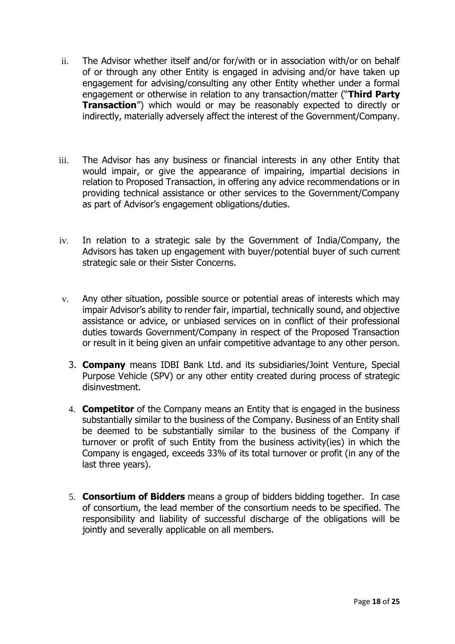- ii. The Advisor whether itself and/or for/with or in association with/or on behalf of or through any other Entity is engaged in advising and/or have taken up engagement for advising/consulting any other Entity whether under a formal engagement or otherwise in relation to any transaction/matter ("**Third Party Transaction**") which would or may be reasonably expected to directly or indirectly, materially adversely affect the interest of the Government/Company.
- iii. The Advisor has any business or financial interests in any other Entity that would impair, or give the appearance of impairing, impartial decisions in relation to Proposed Transaction, in offering any advice recommendations or in providing technical assistance or other services to the Government/Company as part of Advisor's engagement obligations/duties.
- iv. In relation to a strategic sale by the Government of India/Company, the Advisors has taken up engagement with buyer/potential buyer of such current strategic sale or their Sister Concerns.
- v. Any other situation, possible source or potential areas of interests which may impair Advisor's ability to render fair, impartial, technically sound, and objective assistance or advice, or unbiased services on in conflict of their professional duties towards Government/Company in respect of the Proposed Transaction or result in it being given an unfair competitive advantage to any other person.
	- 3. **Company** means IDBI Bank Ltd. and its subsidiaries/Joint Venture, Special Purpose Vehicle (SPV) or any other entity created during process of strategic disinvestment.
	- 4. **Competitor** of the Company means an Entity that is engaged in the business substantially similar to the business of the Company. Business of an Entity shall be deemed to be substantially similar to the business of the Company if turnover or profit of such Entity from the business activity(ies) in which the Company is engaged, exceeds 33% of its total turnover or profit (in any of the last three years).
	- 5. **Consortium of Bidders** means a group of bidders bidding together. In case of consortium, the lead member of the consortium needs to be specified. The responsibility and liability of successful discharge of the obligations will be jointly and severally applicable on all members.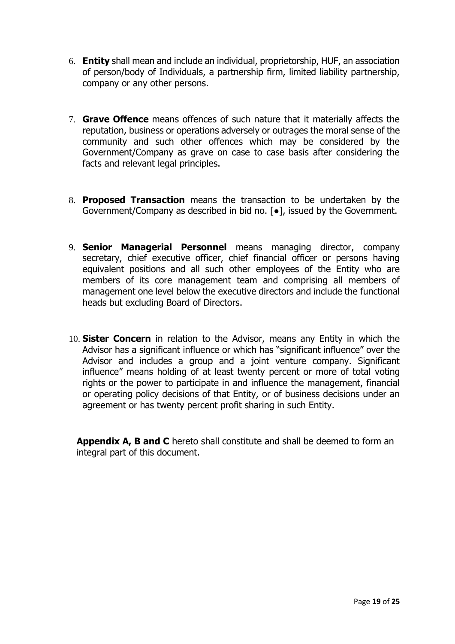- 6. **Entity** shall mean and include an individual, proprietorship, HUF, an association of person/body of Individuals, a partnership firm, limited liability partnership, company or any other persons.
- 7. **Grave Offence** means offences of such nature that it materially affects the reputation, business or operations adversely or outrages the moral sense of the community and such other offences which may be considered by the Government/Company as grave on case to case basis after considering the facts and relevant legal principles.
- 8. **Proposed Transaction** means the transaction to be undertaken by the Government/Company as described in bid no. [●], issued by the Government.
- 9. **Senior Managerial Personnel** means managing director, company secretary, chief executive officer, chief financial officer or persons having equivalent positions and all such other employees of the Entity who are members of its core management team and comprising all members of management one level below the executive directors and include the functional heads but excluding Board of Directors.
- 10. **Sister Concern** in relation to the Advisor, means any Entity in which the Advisor has a significant influence or which has "significant influence" over the Advisor and includes a group and a joint venture company. Significant influence" means holding of at least twenty percent or more of total voting rights or the power to participate in and influence the management, financial or operating policy decisions of that Entity, or of business decisions under an agreement or has twenty percent profit sharing in such Entity.

**Appendix A, B and C** hereto shall constitute and shall be deemed to form an integral part of this document.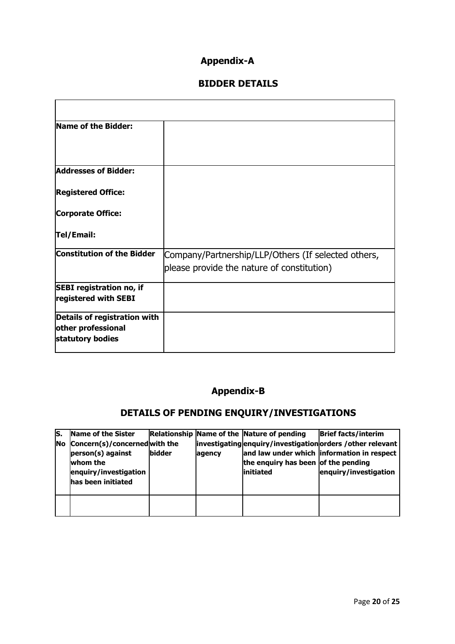# **Appendix-A**

# **BIDDER DETAILS**

| Name of the Bidder:                                                    |                                                                                                   |
|------------------------------------------------------------------------|---------------------------------------------------------------------------------------------------|
| <b>Addresses of Bidder:</b>                                            |                                                                                                   |
| <b>Registered Office:</b>                                              |                                                                                                   |
| <b>Corporate Office:</b>                                               |                                                                                                   |
| Tel/Email:                                                             |                                                                                                   |
| <b>Constitution of the Bidder</b>                                      | Company/Partnership/LLP/Others (If selected others,<br>please provide the nature of constitution) |
| <b>SEBI</b> registration no, if<br>registered with SEBI                |                                                                                                   |
| Details of registration with<br>other professional<br>statutory bodies |                                                                                                   |

# **Appendix-B**

# **DETAILS OF PENDING ENQUIRY/INVESTIGATIONS**

| ls.       | Name of the Sister                                                                                           |               |        | Relationship Name of the Nature of pending        | <b>Brief facts/interim</b>                                                                                                         |
|-----------|--------------------------------------------------------------------------------------------------------------|---------------|--------|---------------------------------------------------|------------------------------------------------------------------------------------------------------------------------------------|
| <b>No</b> | Concern(s)/concernedwith the<br>person(s) against<br>whom the<br>enquiry/investigation<br>has been initiated | <b>bidder</b> | agency | the enquiry has been of the pending<br>linitiated | investigating enquiry/investigation orders / other relevant<br>and law under which information in respect<br>enquiry/investigation |
|           |                                                                                                              |               |        |                                                   |                                                                                                                                    |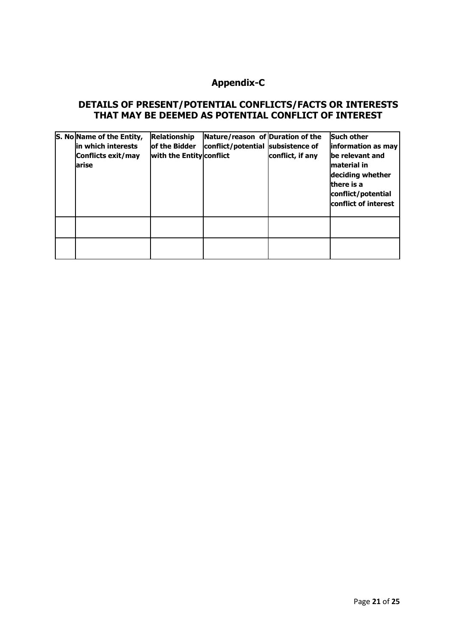# **Appendix-C**

#### **DETAILS OF PRESENT/POTENTIAL CONFLICTS/FACTS OR INTERESTS THAT MAY BE DEEMED AS POTENTIAL CONFLICT OF INTEREST**

| S. No Name of the Entity,<br>in which interests<br>Conflicts exit/may<br>larise | <b>Relationship</b><br>of the Bidder<br>with the Entity conflict | Nature/reason of Duration of the<br>conflict/potential subsistence of | conflict, if any | <b>Such other</b><br>information as may<br>be relevant and<br>lmaterial in<br>deciding whether<br>there is a<br>conflict/potential<br>conflict of interest |
|---------------------------------------------------------------------------------|------------------------------------------------------------------|-----------------------------------------------------------------------|------------------|------------------------------------------------------------------------------------------------------------------------------------------------------------|
|                                                                                 |                                                                  |                                                                       |                  |                                                                                                                                                            |
|                                                                                 |                                                                  |                                                                       |                  |                                                                                                                                                            |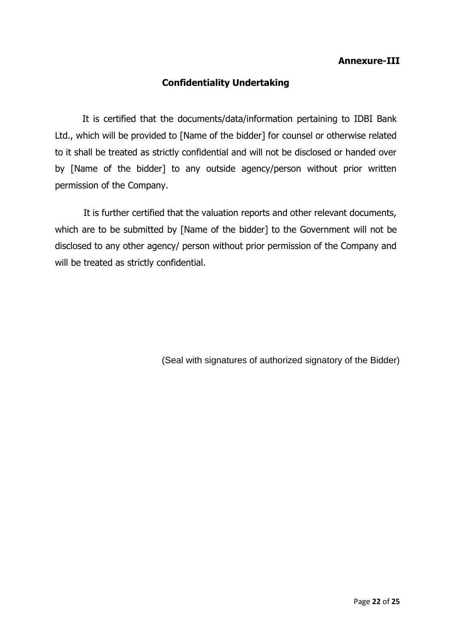## **Annexure-III**

# **Confidentiality Undertaking**

It is certified that the documents/data/information pertaining to IDBI Bank Ltd., which will be provided to [Name of the bidder] for counsel or otherwise related to it shall be treated as strictly confidential and will not be disclosed or handed over by [Name of the bidder] to any outside agency/person without prior written permission of the Company.

 It is further certified that the valuation reports and other relevant documents, which are to be submitted by [Name of the bidder] to the Government will not be disclosed to any other agency/ person without prior permission of the Company and will be treated as strictly confidential.

(Seal with signatures of authorized signatory of the Bidder)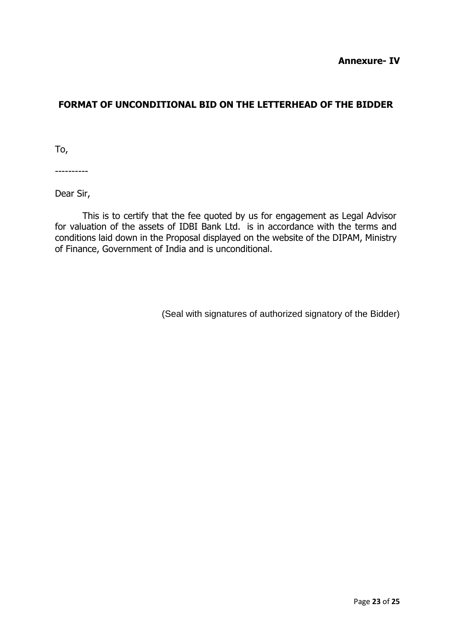# **FORMAT OF UNCONDITIONAL BID ON THE LETTERHEAD OF THE BIDDER**

To,

----------

Dear Sir,

This is to certify that the fee quoted by us for engagement as Legal Advisor for valuation of the assets of IDBI Bank Ltd. is in accordance with the terms and conditions laid down in the Proposal displayed on the website of the DIPAM, Ministry of Finance, Government of India and is unconditional.

(Seal with signatures of authorized signatory of the Bidder)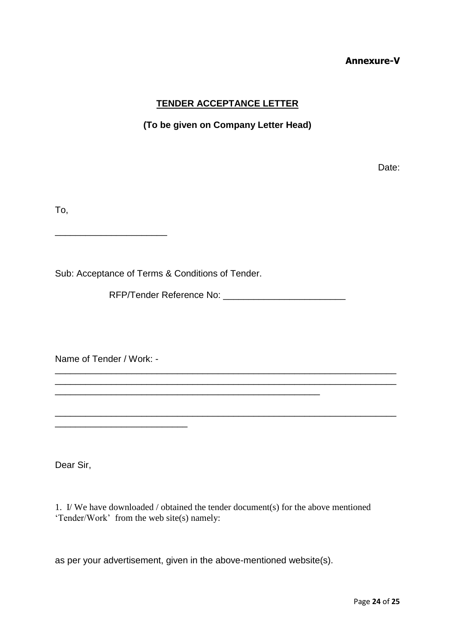#### **Annexure-V**

## **TENDER ACCEPTANCE LETTER**

#### **(To be given on Company Letter Head)**

discussion of the contract of the contract of the contract of the Date:

To,

Sub: Acceptance of Terms & Conditions of Tender.

RFP/Tender Reference No: \_\_\_\_\_\_\_\_\_\_\_\_\_\_\_\_\_\_\_\_\_\_\_\_

\_\_\_\_\_\_\_\_\_\_\_\_\_\_\_\_\_\_\_\_\_\_\_\_\_\_\_\_\_\_\_\_\_\_\_\_\_\_\_\_\_\_\_\_\_\_\_\_\_\_\_\_\_\_\_\_\_\_\_\_\_\_\_\_\_\_\_ \_\_\_\_\_\_\_\_\_\_\_\_\_\_\_\_\_\_\_\_\_\_\_\_\_\_\_\_\_\_\_\_\_\_\_\_\_\_\_\_\_\_\_\_\_\_\_\_\_\_\_\_\_\_\_\_\_\_\_\_\_\_\_\_\_\_\_

\_\_\_\_\_\_\_\_\_\_\_\_\_\_\_\_\_\_\_\_\_\_\_\_\_\_\_\_\_\_\_\_\_\_\_\_\_\_\_\_\_\_\_\_\_\_\_\_\_\_\_\_\_\_\_\_\_\_\_\_\_\_\_\_\_\_\_

Name of Tender / Work: -

\_\_\_\_\_\_\_\_\_\_\_\_\_\_\_\_\_\_\_\_\_\_

Dear Sir,

1. I/ We have downloaded / obtained the tender document(s) for the above mentioned 'Tender/Work' from the web site(s) namely:

as per your advertisement, given in the above-mentioned website(s).

\_\_\_\_\_\_\_\_\_\_\_\_\_\_\_\_\_\_\_\_\_\_\_\_\_\_\_\_\_\_\_\_\_\_\_\_\_\_\_\_\_\_\_\_\_\_\_\_\_\_\_\_